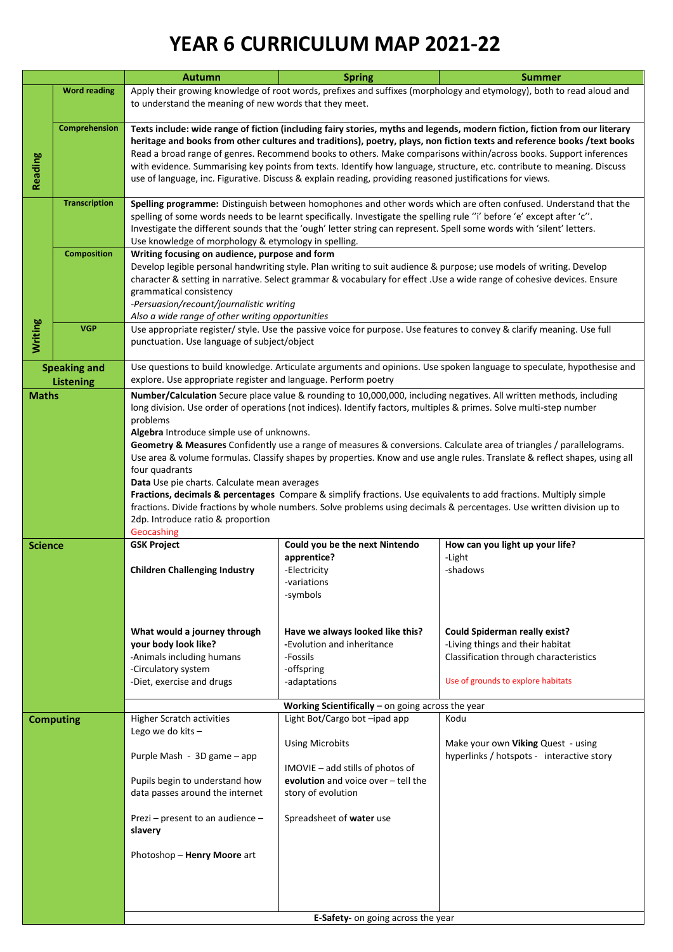## **YEAR 6 CURRICULUM MAP 2021-22**

|                                                    |                                                                                                                                                                                                                                                                                                                                                                     | <b>Autumn</b>                                                                                                                                                                                                                                                                                                                                                                                                                                                                                                                                                                                                                                                                                                                                                                                                                                                                                                                                                                                                                                                                                                                                                                                                     | <b>Spring</b>                                                                                                                                                                       | <b>Summer</b>                                                                                                                                            |  |  |  |  |  |
|----------------------------------------------------|---------------------------------------------------------------------------------------------------------------------------------------------------------------------------------------------------------------------------------------------------------------------------------------------------------------------------------------------------------------------|-------------------------------------------------------------------------------------------------------------------------------------------------------------------------------------------------------------------------------------------------------------------------------------------------------------------------------------------------------------------------------------------------------------------------------------------------------------------------------------------------------------------------------------------------------------------------------------------------------------------------------------------------------------------------------------------------------------------------------------------------------------------------------------------------------------------------------------------------------------------------------------------------------------------------------------------------------------------------------------------------------------------------------------------------------------------------------------------------------------------------------------------------------------------------------------------------------------------|-------------------------------------------------------------------------------------------------------------------------------------------------------------------------------------|----------------------------------------------------------------------------------------------------------------------------------------------------------|--|--|--|--|--|
|                                                    | <b>Word reading</b>                                                                                                                                                                                                                                                                                                                                                 | Apply their growing knowledge of root words, prefixes and suffixes (morphology and etymology), both to read aloud and<br>to understand the meaning of new words that they meet.                                                                                                                                                                                                                                                                                                                                                                                                                                                                                                                                                                                                                                                                                                                                                                                                                                                                                                                                                                                                                                   |                                                                                                                                                                                     |                                                                                                                                                          |  |  |  |  |  |
| Reading                                            | Comprehension                                                                                                                                                                                                                                                                                                                                                       | Texts include: wide range of fiction (including fairy stories, myths and legends, modern fiction, fiction from our literary<br>heritage and books from other cultures and traditions), poetry, plays, non fiction texts and reference books /text books<br>Read a broad range of genres. Recommend books to others. Make comparisons within/across books. Support inferences<br>with evidence. Summarising key points from texts. Identify how language, structure, etc. contribute to meaning. Discuss<br>use of language, inc. Figurative. Discuss & explain reading, providing reasoned justifications for views.                                                                                                                                                                                                                                                                                                                                                                                                                                                                                                                                                                                              |                                                                                                                                                                                     |                                                                                                                                                          |  |  |  |  |  |
|                                                    | Spelling programme: Distinguish between homophones and other words which are often confused. Understand that the<br>spelling of some words needs to be learnt specifically. Investigate the spelling rule "i' before 'e' except after 'c".<br>Investigate the different sounds that the 'ough' letter string can represent. Spell some words with 'silent' letters. |                                                                                                                                                                                                                                                                                                                                                                                                                                                                                                                                                                                                                                                                                                                                                                                                                                                                                                                                                                                                                                                                                                                                                                                                                   |                                                                                                                                                                                     |                                                                                                                                                          |  |  |  |  |  |
|                                                    | <b>Composition</b>                                                                                                                                                                                                                                                                                                                                                  | Writing focusing on audience, purpose and form<br>Develop legible personal handwriting style. Plan writing to suit audience & purpose; use models of writing. Develop<br>character & setting in narrative. Select grammar & vocabulary for effect .Use a wide range of cohesive devices. Ensure<br>grammatical consistency<br>-Persuasion/recount/journalistic writing<br>Also a wide range of other writing opportunities                                                                                                                                                                                                                                                                                                                                                                                                                                                                                                                                                                                                                                                                                                                                                                                        |                                                                                                                                                                                     |                                                                                                                                                          |  |  |  |  |  |
| Writing                                            | <b>VGP</b>                                                                                                                                                                                                                                                                                                                                                          | punctuation. Use language of subject/object                                                                                                                                                                                                                                                                                                                                                                                                                                                                                                                                                                                                                                                                                                                                                                                                                                                                                                                                                                                                                                                                                                                                                                       | Use appropriate register/ style. Use the passive voice for purpose. Use features to convey & clarify meaning. Use full                                                              |                                                                                                                                                          |  |  |  |  |  |
| <b>Speaking and</b>                                |                                                                                                                                                                                                                                                                                                                                                                     | Use questions to build knowledge. Articulate arguments and opinions. Use spoken language to speculate, hypothesise and                                                                                                                                                                                                                                                                                                                                                                                                                                                                                                                                                                                                                                                                                                                                                                                                                                                                                                                                                                                                                                                                                            |                                                                                                                                                                                     |                                                                                                                                                          |  |  |  |  |  |
| <b>Listening</b><br><b>Maths</b><br><b>Science</b> |                                                                                                                                                                                                                                                                                                                                                                     | explore. Use appropriate register and language. Perform poetry<br>Number/Calculation Secure place value & rounding to 10,000,000, including negatives. All written methods, including<br>long division. Use order of operations (not indices). Identify factors, multiples & primes. Solve multi-step number<br>problems<br>Algebra Introduce simple use of unknowns.<br>Geometry & Measures Confidently use a range of measures & conversions. Calculate area of triangles / parallelograms.<br>Use area & volume formulas. Classify shapes by properties. Know and use angle rules. Translate & reflect shapes, using all<br>four quadrants<br>Data Use pie charts. Calculate mean averages<br>Fractions, decimals & percentages Compare & simplify fractions. Use equivalents to add fractions. Multiply simple<br>fractions. Divide fractions by whole numbers. Solve problems using decimals & percentages. Use written division up to<br>2dp. Introduce ratio & proportion<br>Geocashing<br><b>GSK Project</b><br>How can you light up your life?<br>Could you be the next Nintendo<br>apprentice?<br>-Light<br><b>Children Challenging Industry</b><br>-Electricity<br>-shadows<br>-variations<br>-symbols |                                                                                                                                                                                     |                                                                                                                                                          |  |  |  |  |  |
|                                                    |                                                                                                                                                                                                                                                                                                                                                                     | What would a journey through<br>your body look like?<br>-Animals including humans<br>-Circulatory system<br>-Diet, exercise and drugs                                                                                                                                                                                                                                                                                                                                                                                                                                                                                                                                                                                                                                                                                                                                                                                                                                                                                                                                                                                                                                                                             | Have we always looked like this?<br>-Evolution and inheritance<br>-Fossils<br>-offspring<br>-adaptations                                                                            | <b>Could Spiderman really exist?</b><br>-Living things and their habitat<br>Classification through characteristics<br>Use of grounds to explore habitats |  |  |  |  |  |
|                                                    |                                                                                                                                                                                                                                                                                                                                                                     | Working Scientifically - on going across the year                                                                                                                                                                                                                                                                                                                                                                                                                                                                                                                                                                                                                                                                                                                                                                                                                                                                                                                                                                                                                                                                                                                                                                 |                                                                                                                                                                                     |                                                                                                                                                          |  |  |  |  |  |
| <b>Computing</b>                                   |                                                                                                                                                                                                                                                                                                                                                                     | <b>Higher Scratch activities</b><br>Lego we do kits-<br>Purple Mash - 3D game - app<br>Pupils begin to understand how<br>data passes around the internet<br>Prezi - present to an audience -<br>slavery<br>Photoshop - Henry Moore art                                                                                                                                                                                                                                                                                                                                                                                                                                                                                                                                                                                                                                                                                                                                                                                                                                                                                                                                                                            | Light Bot/Cargo bot-ipad app<br><b>Using Microbits</b><br>IMOVIE - add stills of photos of<br>evolution and voice over - tell the<br>story of evolution<br>Spreadsheet of water use | Kodu<br>Make your own Viking Quest - using<br>hyperlinks / hotspots - interactive story                                                                  |  |  |  |  |  |
|                                                    |                                                                                                                                                                                                                                                                                                                                                                     | E-Safety- on going across the year                                                                                                                                                                                                                                                                                                                                                                                                                                                                                                                                                                                                                                                                                                                                                                                                                                                                                                                                                                                                                                                                                                                                                                                |                                                                                                                                                                                     |                                                                                                                                                          |  |  |  |  |  |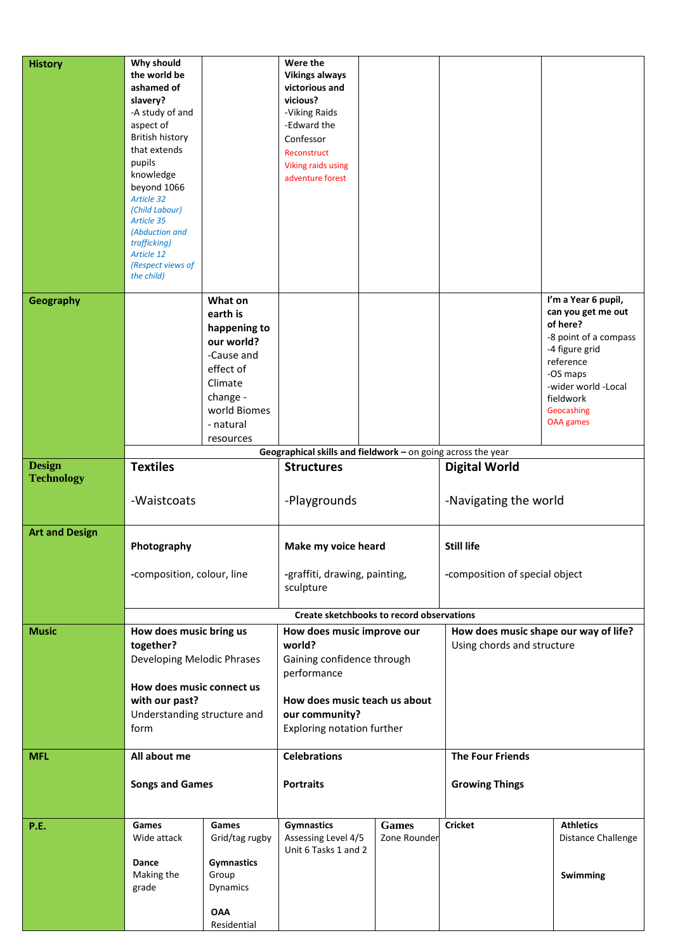| <b>History</b>        | Why should<br>the world be<br>ashamed of<br>slavery?<br>-A study of and<br>aspect of<br><b>British history</b><br>that extends<br>pupils<br>knowledge<br>beyond 1066<br><b>Article 32</b><br>(Child Labour)<br>Article 35<br>(Abduction and<br>trafficking)<br>Article 12<br>(Respect views of<br>the child) |                                                                                                                                               | Were the<br><b>Vikings always</b><br>victorious and<br>vicious?<br>-Viking Raids<br>-Edward the<br>Confessor<br>Reconstruct<br><b>Viking raids using</b><br>adventure forest |                              |                                                                     |                                                                                                                                                                                                 |
|-----------------------|--------------------------------------------------------------------------------------------------------------------------------------------------------------------------------------------------------------------------------------------------------------------------------------------------------------|-----------------------------------------------------------------------------------------------------------------------------------------------|------------------------------------------------------------------------------------------------------------------------------------------------------------------------------|------------------------------|---------------------------------------------------------------------|-------------------------------------------------------------------------------------------------------------------------------------------------------------------------------------------------|
| Geography             |                                                                                                                                                                                                                                                                                                              | What on<br>earth is<br>happening to<br>our world?<br>-Cause and<br>effect of<br>Climate<br>change -<br>world Biomes<br>- natural<br>resources |                                                                                                                                                                              |                              |                                                                     | I'm a Year 6 pupil,<br>can you get me out<br>of here?<br>-8 point of a compass<br>-4 figure grid<br>reference<br>-OS maps<br>-wider world -Local<br>fieldwork<br>Geocashing<br><b>OAA</b> games |
| <b>Design</b>         |                                                                                                                                                                                                                                                                                                              |                                                                                                                                               | Geographical skills and fieldwork - on going across the year                                                                                                                 |                              |                                                                     |                                                                                                                                                                                                 |
| <b>Technology</b>     | <b>Textiles</b><br>-Waistcoats                                                                                                                                                                                                                                                                               |                                                                                                                                               | <b>Structures</b><br>-Playgrounds                                                                                                                                            |                              | <b>Digital World</b><br>-Navigating the world                       |                                                                                                                                                                                                 |
|                       |                                                                                                                                                                                                                                                                                                              |                                                                                                                                               |                                                                                                                                                                              |                              |                                                                     |                                                                                                                                                                                                 |
| <b>Art and Design</b> | Photography<br>-composition, colour, line                                                                                                                                                                                                                                                                    |                                                                                                                                               | Make my voice heard<br>-graffiti, drawing, painting,<br>sculpture                                                                                                            |                              | <b>Still life</b><br>-composition of special object                 |                                                                                                                                                                                                 |
|                       |                                                                                                                                                                                                                                                                                                              |                                                                                                                                               | Create sketchbooks to record observations                                                                                                                                    |                              |                                                                     |                                                                                                                                                                                                 |
| <b>Music</b>          | How does music bring us<br>together?<br>Developing Melodic Phrases<br>How does music connect us<br>with our past?<br>Understanding structure and<br>form                                                                                                                                                     |                                                                                                                                               | How does music improve our<br>world?<br>Gaining confidence through<br>performance<br>How does music teach us about<br>our community?<br>Exploring notation further           |                              | How does music shape our way of life?<br>Using chords and structure |                                                                                                                                                                                                 |
| <b>MFL</b>            | All about me                                                                                                                                                                                                                                                                                                 |                                                                                                                                               | <b>Celebrations</b>                                                                                                                                                          |                              | <b>The Four Friends</b>                                             |                                                                                                                                                                                                 |
|                       | <b>Songs and Games</b>                                                                                                                                                                                                                                                                                       |                                                                                                                                               | <b>Portraits</b>                                                                                                                                                             |                              | <b>Growing Things</b>                                               |                                                                                                                                                                                                 |
| P.E.                  | Games<br>Wide attack<br>Dance<br>Making the<br>grade                                                                                                                                                                                                                                                         | Games<br>Grid/tag rugby<br><b>Gymnastics</b><br>Group<br>Dynamics<br><b>OAA</b><br>Residential                                                | <b>Gymnastics</b><br>Assessing Level 4/5<br>Unit 6 Tasks 1 and 2                                                                                                             | <b>Games</b><br>Zone Rounder | <b>Cricket</b>                                                      | <b>Athletics</b><br>Distance Challenge<br>Swimming                                                                                                                                              |